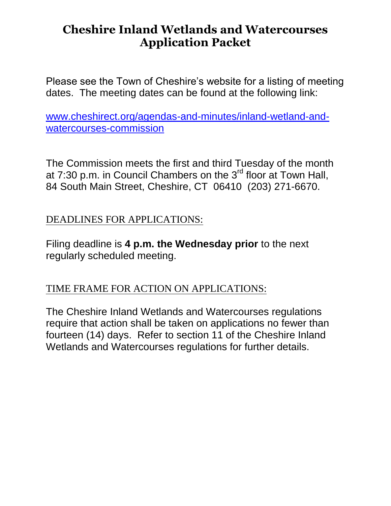# **Cheshire Inland Wetlands and Watercourses Application Packet**

Please see the Town of Cheshire's website for a listing of meeting dates. The meeting dates can be found at the following link:

[www.cheshirect.org/agendas-and-minutes/inland-wetland-and](http://www.cheshirect.org/agendas-and-minutes/inland-wetland-and-watercourses-commission)[watercourses-commission](http://www.cheshirect.org/agendas-and-minutes/inland-wetland-and-watercourses-commission)

The Commission meets the first and third Tuesday of the month at 7:30 p.m. in Council Chambers on the 3<sup>rd</sup> floor at Town Hall, 84 South Main Street, Cheshire, CT 06410 (203) 271-6670.

## DEADLINES FOR APPLICATIONS:

Filing deadline is **4 p.m. the Wednesday prior** to the next regularly scheduled meeting.

## TIME FRAME FOR ACTION ON APPLICATIONS:

The Cheshire Inland Wetlands and Watercourses regulations require that action shall be taken on applications no fewer than fourteen (14) days. Refer to section 11 of the Cheshire Inland Wetlands and Watercourses regulations for further details.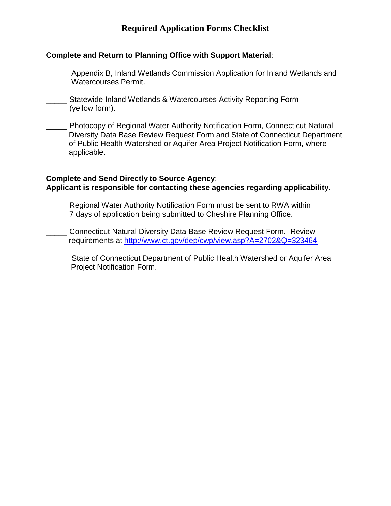## **Required Application Forms Checklist**

## **Complete and Return to Planning Office with Support Material**:

- \_\_\_\_\_ Appendix B, Inland Wetlands Commission Application for Inland Wetlands and Watercourses Permit.
- Statewide Inland Wetlands & Watercourses Activity Reporting Form (yellow form).
- \_\_\_\_\_ Photocopy of Regional Water Authority Notification Form, Connecticut Natural Diversity Data Base Review Request Form and State of Connecticut Department of Public Health Watershed or Aquifer Area Project Notification Form, where applicable.

#### **Complete and Send Directly to Source Agency**: **Applicant is responsible for contacting these agencies regarding applicability.**

- Regional Water Authority Notification Form must be sent to RWA within 7 days of application being submitted to Cheshire Planning Office.
- \_\_\_\_\_ Connecticut Natural Diversity Data Base Review Request Form. Review requirements at<http://www.ct.gov/dep/cwp/view.asp?A=2702&Q=323464>
- **EXECT** State of Connecticut Department of Public Health Watershed or Aquifer Area Project Notification Form.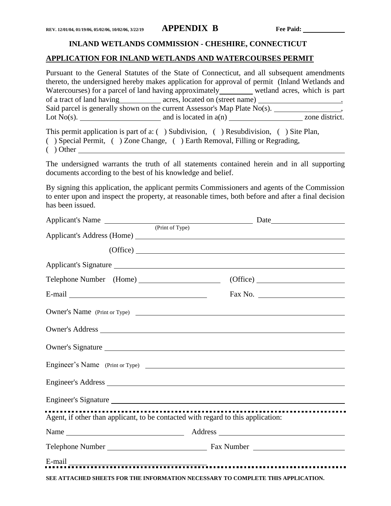#### **INLAND WETLANDS COMMISSION - CHESHIRE, CONNECTICUT**

#### **APPLICATION FOR INLAND WETLANDS AND WATERCOURSES PERMIT**

Pursuant to the General Statutes of the State of Connecticut, and all subsequent amendments thereto, the undersigned hereby makes application for approval of permit (Inland Wetlands and Watercourses) for a parcel of land having approximately wetland acres, which is part of a tract of land having acres, located on (street name) Said parcel is generally shown on the current Assessor's Map Plate  $N<sub>o(s)</sub>$ . Lot  $No(s)$ .  $\qquad \qquad \qquad$  and is located in  $a(n)$  zone district.

This permit application is part of a: ( ) Subdivision, ( ) Resubdivision, ( ) Site Plan, ( ) Special Permit, ( ) Zone Change, ( ) Earth Removal, Filling or Regrading,

( ) Other

The undersigned warrants the truth of all statements contained herein and in all supporting documents according to the best of his knowledge and belief.

By signing this application, the applicant permits Commissioners and agents of the Commission to enter upon and inspect the property, at reasonable times, both before and after a final decision has been issued.

| Applicant's Name (Print of Type) |                                                                                  |
|----------------------------------|----------------------------------------------------------------------------------|
|                                  |                                                                                  |
|                                  | $(Office)$ $\overline{\qquad \qquad }$                                           |
|                                  | Applicant's Signature                                                            |
|                                  | Telephone Number (Home) (Office)                                                 |
|                                  |                                                                                  |
|                                  | Owner's Name (Print or Type)                                                     |
|                                  |                                                                                  |
|                                  | Owner's Signature                                                                |
|                                  | Engineer's Name (Print or Type)                                                  |
|                                  |                                                                                  |
|                                  | Engineer's Signature                                                             |
|                                  | Agent, if other than applicant, to be contacted with regard to this application: |
|                                  |                                                                                  |
|                                  |                                                                                  |
|                                  |                                                                                  |
|                                  | SEE ATTACHED SHEETS FOR THE INFORMATION NECESSARY TO COMPLETE THIS APPLICATION.  |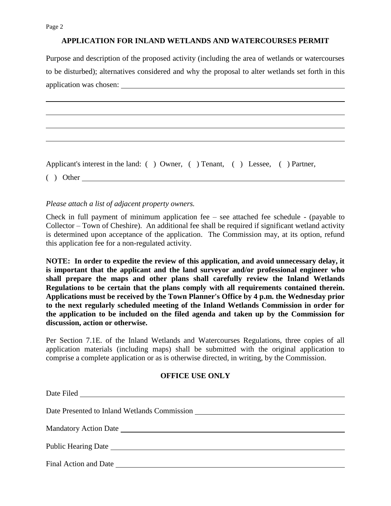Page 2

#### **APPLICATION FOR INLAND WETLANDS AND WATERCOURSES PERMIT**

Purpose and description of the proposed activity (including the area of wetlands or watercourses to be disturbed); alternatives considered and why the proposal to alter wetlands set forth in this application was chosen:

Applicant's interest in the land: ( ) Owner, ( ) Tenant, ( ) Lessee, ( ) Partner,

( ) Other

#### *Please attach a list of adjacent property owners.*

Check in full payment of minimum application fee – see attached fee schedule - (payable to Collector – Town of Cheshire). An additional fee shall be required if significant wetland activity is determined upon acceptance of the application. The Commission may, at its option, refund this application fee for a non-regulated activity.

**NOTE: In order to expedite the review of this application, and avoid unnecessary delay, it is important that the applicant and the land surveyor and/or professional engineer who shall prepare the maps and other plans shall carefully review the Inland Wetlands Regulations to be certain that the plans comply with all requirements contained therein. Applications must be received by the Town Planner's Office by 4 p.m. the Wednesday prior to the next regularly scheduled meeting of the Inland Wetlands Commission in order for the application to be included on the filed agenda and taken up by the Commission for discussion, action or otherwise.**

Per Section 7.1E. of the Inland Wetlands and Watercourses Regulations, three copies of all application materials (including maps) shall be submitted with the original application to comprise a complete application or as is otherwise directed, in writing, by the Commission.

#### **OFFICE USE ONLY**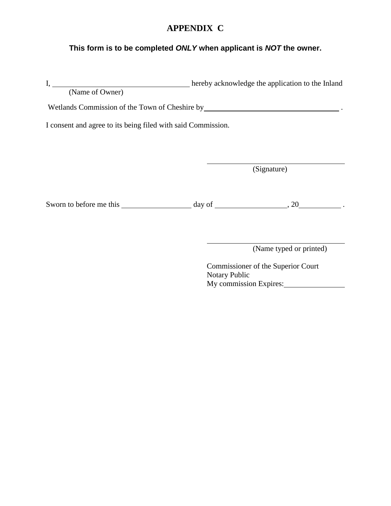## **APPENDIX C**

#### **This form is to be completed** *ONLY* **when applicant is** *NOT* **the owner.**

I, hereby acknowledge the application to the Inland (Name of Owner) Wetlands Commission of the Town of Cheshire by **No. 1998** 1 2012 1 2014 I consent and agree to its being filed with said Commission. (Signature) Sworn to before me this day of , 20 .

(Name typed or printed)

Commissioner of the Superior Court Notary Public My commission Expires: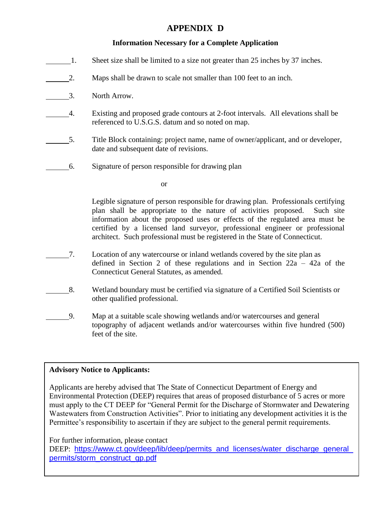## **APPENDIX D**

## **Information Necessary for a Complete Application**

- 1. Sheet size shall be limited to a size not greater than 25 inches by 37 inches.
- 2. Maps shall be drawn to scale not smaller than 100 feet to an inch.
- 3. North Arrow.
- 4. Existing and proposed grade contours at 2-foot intervals. All elevations shall be referenced to U.S.G.S. datum and so noted on map.
- 5. Title Block containing: project name, name of owner/applicant, and or developer, date and subsequent date of revisions.
- 6. Signature of person responsible for drawing plan

or

Legible signature of person responsible for drawing plan. Professionals certifying plan shall be appropriate to the nature of activities proposed. Such site information about the proposed uses or effects of the regulated area must be certified by a licensed land surveyor, professional engineer or professional architect. Such professional must be registered in the State of Connecticut.

- 7. Location of any watercourse or inland wetlands covered by the site plan as defined in Section 2 of these regulations and in Section 22a – 42a of the Connecticut General Statutes, as amended.
- 8. Wetland boundary must be certified via signature of a Certified Soil Scientists or other qualified professional.
- 9. Map at a suitable scale showing wetlands and/or watercourses and general topography of adjacent wetlands and/or watercourses within five hundred (500) feet of the site.

## **Advisory Notice to Applicants:**

Applicants are hereby advised that The State of Connecticut Department of Energy and Environmental Protection (DEEP) requires that areas of proposed disturbance of 5 acres or more must apply to the CT DEEP for "General Permit for the Discharge of Stormwater and Dewatering Wastewaters from Construction Activities". Prior to initiating any development activities it is the Permittee's responsibility to ascertain if they are subject to the general permit requirements.

For further information, please contact

DEEP: [https://www.ct.gov/deep/lib/deep/permits\\_and\\_licenses/water\\_discharge\\_general\\_](https://www.ct.gov/deep/lib/deep/permits_and_licenses/water_discharge_general_permits/storm_construct_gp.pdf) [permits/storm\\_construct\\_gp.pdf](https://www.ct.gov/deep/lib/deep/permits_and_licenses/water_discharge_general_permits/storm_construct_gp.pdf)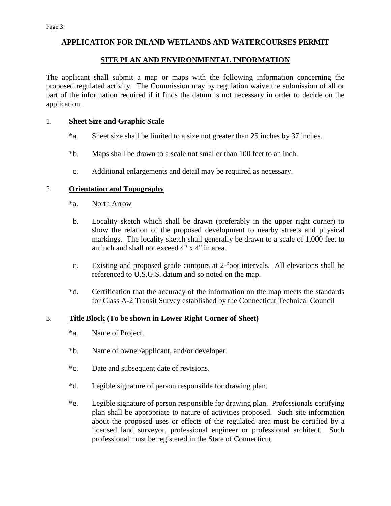#### **SITE PLAN AND ENVIRONMENTAL INFORMATION**

The applicant shall submit a map or maps with the following information concerning the proposed regulated activity. The Commission may by regulation waive the submission of all or part of the information required if it finds the datum is not necessary in order to decide on the application.

#### 1. **Sheet Size and Graphic Scale**

- \*a. Sheet size shall be limited to a size not greater than 25 inches by 37 inches.
- \*b. Maps shall be drawn to a scale not smaller than 100 feet to an inch.
- c. Additional enlargements and detail may be required as necessary.

#### 2. **Orientation and Topography**

- \*a. North Arrow
- b. Locality sketch which shall be drawn (preferably in the upper right corner) to show the relation of the proposed development to nearby streets and physical markings. The locality sketch shall generally be drawn to a scale of 1,000 feet to an inch and shall not exceed 4" x 4" in area.
- c. Existing and proposed grade contours at 2-foot intervals. All elevations shall be referenced to U.S.G.S. datum and so noted on the map.
- \*d. Certification that the accuracy of the information on the map meets the standards for Class A-2 Transit Survey established by the Connecticut Technical Council

#### 3. **Title Block (To be shown in Lower Right Corner of Sheet)**

- \*a. Name of Project.
- \*b. Name of owner/applicant, and/or developer.
- \*c. Date and subsequent date of revisions.
- \*d. Legible signature of person responsible for drawing plan.
- \*e. Legible signature of person responsible for drawing plan. Professionals certifying plan shall be appropriate to nature of activities proposed. Such site information about the proposed uses or effects of the regulated area must be certified by a licensed land surveyor, professional engineer or professional architect. Such professional must be registered in the State of Connecticut.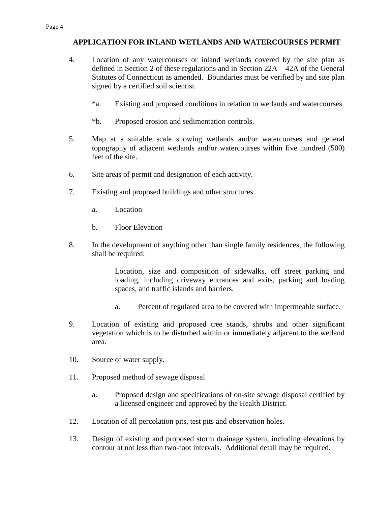- 4. Location of any watercourses or inland wetlands covered by the site plan as defined in Section 2 of these regulations and in Section 22A – 42A of the General Statutes of Connecticut as amended. Boundaries must be verified by and site plan signed by a certified soil scientist.
	- \*a. Existing and proposed conditions in relation to wetlands and watercourses.
	- \*b. Proposed erosion and sedimentation controls.
- 5. Map at a suitable scale showing wetlands and/or watercourses and general topography of adjacent wetlands and/or watercourses within five hundred (500) feet of the site.
- 6. Site areas of permit and designation of each activity.
- 7. Existing and proposed buildings and other structures.
	- a. Location
	- b. Floor Elevation
- 8. In the development of anything other than single family residences, the following shall be required:

Location, size and composition of sidewalks, off street parking and loading, including driveway entrances and exits, parking and loading spaces, and traffic islands and barriers.

- a. Percent of regulated area to be covered with impermeable surface.
- 9. Location of existing and proposed tree stands, shrubs and other significant vegetation which is to be disturbed within or immediately adjacent to the wetland area.
- 10. Source of water supply.
- 11. Proposed method of sewage disposal
	- a. Proposed design and specifications of on-site sewage disposal certified by a licensed engineer and approved by the Health District.
- 12. Location of all percolation pits, test pits and observation holes.
- 13. Design of existing and proposed storm drainage system, including elevations by contour at not less than two-foot intervals. Additional detail may be required.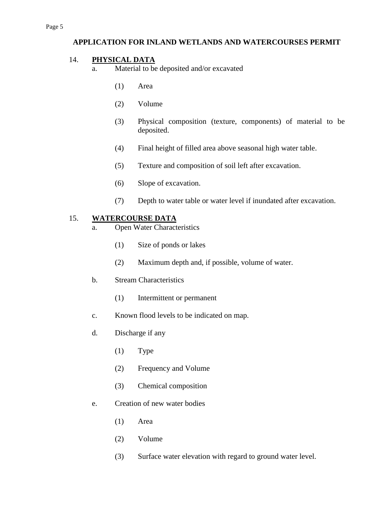## 14. **PHYSICAL DATA**

- a. Material to be deposited and/or excavated
	- (1) Area
	- (2) Volume
	- (3) Physical composition (texture, components) of material to be deposited.
	- (4) Final height of filled area above seasonal high water table.
	- (5) Texture and composition of soil left after excavation.
	- (6) Slope of excavation.
	- (7) Depth to water table or water level if inundated after excavation.

## 15. **WATERCOURSE DATA**

- a. Open Water Characteristics
	- (1) Size of ponds or lakes
	- (2) Maximum depth and, if possible, volume of water.
- b. Stream Characteristics
	- (1) Intermittent or permanent
- c. Known flood levels to be indicated on map.
- d. Discharge if any
	- (1) Type
	- (2) Frequency and Volume
	- (3) Chemical composition
- e. Creation of new water bodies
	- (1) Area
	- (2) Volume
	- (3) Surface water elevation with regard to ground water level.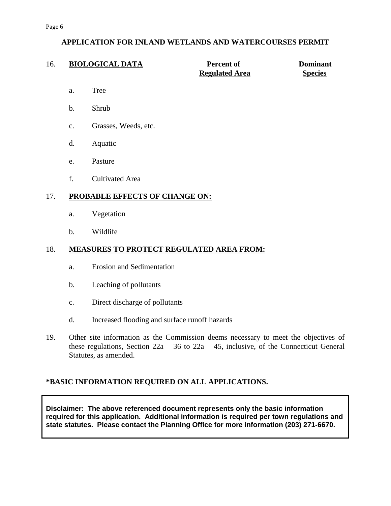| 16. |                                | <b>BIOLOGICAL DATA</b>                          | <b>Percent of</b><br><b>Regulated Area</b> | <b>Dominant</b><br><b>Species</b> |
|-----|--------------------------------|-------------------------------------------------|--------------------------------------------|-----------------------------------|
|     | a.                             | <b>Tree</b>                                     |                                            |                                   |
|     | $b$ .                          | Shrub                                           |                                            |                                   |
|     | $C_{\bullet}$                  | Grasses, Weeds, etc.                            |                                            |                                   |
|     | d.                             | Aquatic                                         |                                            |                                   |
|     | e.                             | Pasture                                         |                                            |                                   |
|     | f.                             | <b>Cultivated Area</b>                          |                                            |                                   |
| 17. | PROBABLE EFFECTS OF CHANGE ON: |                                                 |                                            |                                   |
|     | a.                             | Vegetation                                      |                                            |                                   |
|     | $b$ .                          | Wildlife                                        |                                            |                                   |
| 18. |                                | <b>MEASURES TO PROTECT REGULATED AREA FROM:</b> |                                            |                                   |
|     | a.                             | <b>Erosion and Sedimentation</b>                |                                            |                                   |

- b. Leaching of pollutants
- c. Direct discharge of pollutants
- d. Increased flooding and surface runoff hazards
- 19. Other site information as the Commission deems necessary to meet the objectives of these regulations, Section  $22a - 36$  to  $22a - 45$ , inclusive, of the Connecticut General Statutes, as amended.

## **\*BASIC INFORMATION REQUIRED ON ALL APPLICATIONS.**

**Disclaimer: The above referenced document represents only the basic information required for this application. Additional information is required per town regulations and state statutes. Please contact the Planning Office for more information (203) 271-6670.**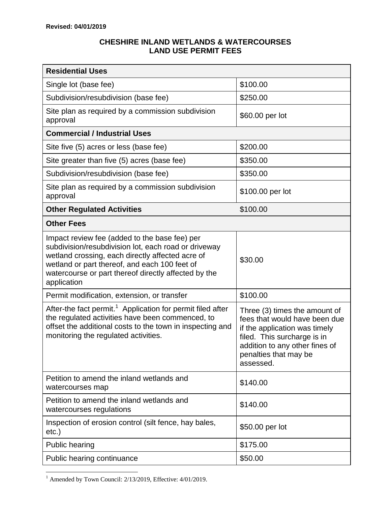## **CHESHIRE INLAND WETLANDS & WATERCOURSES LAND USE PERMIT FEES**

| <b>Residential Uses</b>                                                                                                                                                                                                                                                           |                                                                                                                                                                                                        |  |  |  |
|-----------------------------------------------------------------------------------------------------------------------------------------------------------------------------------------------------------------------------------------------------------------------------------|--------------------------------------------------------------------------------------------------------------------------------------------------------------------------------------------------------|--|--|--|
| Single lot (base fee)                                                                                                                                                                                                                                                             | \$100.00                                                                                                                                                                                               |  |  |  |
| Subdivision/resubdivision (base fee)                                                                                                                                                                                                                                              | \$250.00                                                                                                                                                                                               |  |  |  |
| Site plan as required by a commission subdivision<br>approval                                                                                                                                                                                                                     | \$60.00 per lot                                                                                                                                                                                        |  |  |  |
| <b>Commercial / Industrial Uses</b>                                                                                                                                                                                                                                               |                                                                                                                                                                                                        |  |  |  |
| Site five (5) acres or less (base fee)                                                                                                                                                                                                                                            | \$200.00                                                                                                                                                                                               |  |  |  |
| Site greater than five (5) acres (base fee)                                                                                                                                                                                                                                       | \$350.00                                                                                                                                                                                               |  |  |  |
| Subdivision/resubdivision (base fee)                                                                                                                                                                                                                                              | \$350.00                                                                                                                                                                                               |  |  |  |
| Site plan as required by a commission subdivision<br>approval                                                                                                                                                                                                                     | \$100.00 per lot                                                                                                                                                                                       |  |  |  |
| <b>Other Regulated Activities</b>                                                                                                                                                                                                                                                 | \$100.00                                                                                                                                                                                               |  |  |  |
| <b>Other Fees</b>                                                                                                                                                                                                                                                                 |                                                                                                                                                                                                        |  |  |  |
| Impact review fee (added to the base fee) per<br>subdivision/resubdivision lot, each road or driveway<br>wetland crossing, each directly affected acre of<br>wetland or part thereof, and each 100 feet of<br>watercourse or part thereof directly affected by the<br>application | \$30.00                                                                                                                                                                                                |  |  |  |
| Permit modification, extension, or transfer                                                                                                                                                                                                                                       | \$100.00                                                                                                                                                                                               |  |  |  |
| After-the fact permit. <sup>1</sup> Application for permit filed after<br>the regulated activities have been commenced, to<br>offset the additional costs to the town in inspecting and<br>monitoring the regulated activities.                                                   | Three (3) times the amount of<br>fees that would have been due<br>if the application was timely<br>filed. This surcharge is in<br>addition to any other fines of<br>penalties that may be<br>assessed. |  |  |  |
| Petition to amend the inland wetlands and<br>watercourses map                                                                                                                                                                                                                     | \$140.00                                                                                                                                                                                               |  |  |  |
| Petition to amend the inland wetlands and<br>watercourses regulations                                                                                                                                                                                                             | \$140.00                                                                                                                                                                                               |  |  |  |
| Inspection of erosion control (silt fence, hay bales,<br>etc.)                                                                                                                                                                                                                    | \$50.00 per lot                                                                                                                                                                                        |  |  |  |
| <b>Public hearing</b>                                                                                                                                                                                                                                                             | \$175.00                                                                                                                                                                                               |  |  |  |
| Public hearing continuance                                                                                                                                                                                                                                                        | \$50.00                                                                                                                                                                                                |  |  |  |

 $\overline{a}$  $<sup>1</sup>$  Amended by Town Council: 2/13/2019, Effective: 4/01/2019.</sup>